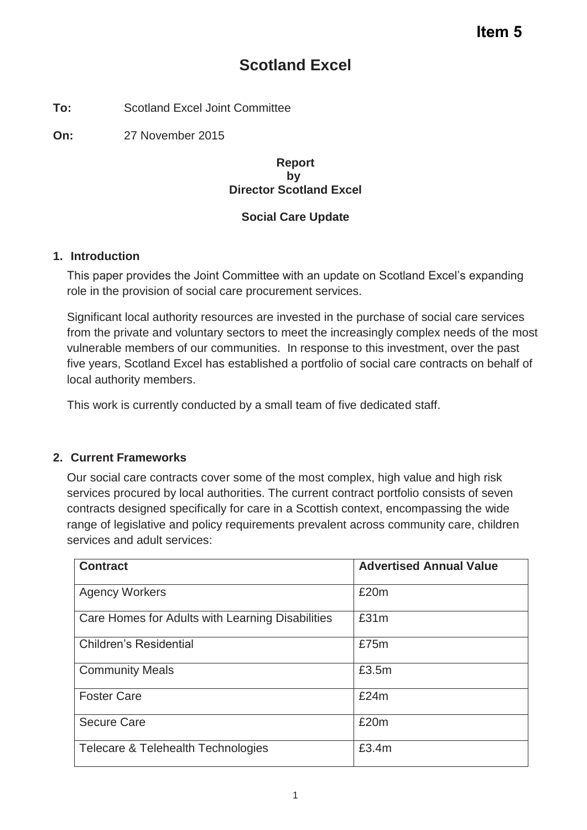# **Scotland Excel**

**To:** Scotland Excel Joint Committee

**On:** 27 November 2015

#### **Report by Director Scotland Excel**

### **Social Care Update**

### **1. Introduction**

This paper provides the Joint Committee with an update on Scotland Excel's expanding role in the provision of social care procurement services.

Significant local authority resources are invested in the purchase of social care services from the private and voluntary sectors to meet the increasingly complex needs of the most vulnerable members of our communities. In response to this investment, over the past five years, Scotland Excel has established a portfolio of social care contracts on behalf of local authority members.

This work is currently conducted by a small team of five dedicated staff.

### **2. Current Frameworks**

Our social care contracts cover some of the most complex, high value and high risk services procured by local authorities. The current contract portfolio consists of seven contracts designed specifically for care in a Scottish context, encompassing the wide range of legislative and policy requirements prevalent across community care, children services and adult services:

| <b>Contract</b>                                  | <b>Advertised Annual Value</b> |
|--------------------------------------------------|--------------------------------|
| <b>Agency Workers</b>                            | £20m                           |
| Care Homes for Adults with Learning Disabilities | £31m                           |
| <b>Children's Residential</b>                    | £75m                           |
| <b>Community Meals</b>                           | £3.5m                          |
| <b>Foster Care</b>                               | £24m                           |
| <b>Secure Care</b>                               | £20m                           |
| Telecare & Telehealth Technologies               | £3.4m                          |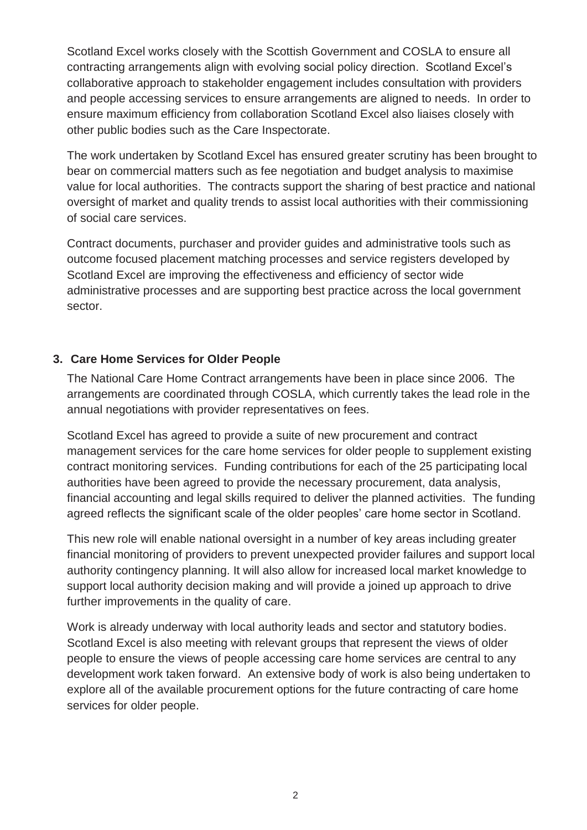Scotland Excel works closely with the Scottish Government and COSLA to ensure all contracting arrangements align with evolving social policy direction. Scotland Excel's collaborative approach to stakeholder engagement includes consultation with providers and people accessing services to ensure arrangements are aligned to needs. In order to ensure maximum efficiency from collaboration Scotland Excel also liaises closely with other public bodies such as the Care Inspectorate.

The work undertaken by Scotland Excel has ensured greater scrutiny has been brought to bear on commercial matters such as fee negotiation and budget analysis to maximise value for local authorities. The contracts support the sharing of best practice and national oversight of market and quality trends to assist local authorities with their commissioning of social care services.

Contract documents, purchaser and provider guides and administrative tools such as outcome focused placement matching processes and service registers developed by Scotland Excel are improving the effectiveness and efficiency of sector wide administrative processes and are supporting best practice across the local government sector.

## **3. Care Home Services for Older People**

The National Care Home Contract arrangements have been in place since 2006. The arrangements are coordinated through COSLA, which currently takes the lead role in the annual negotiations with provider representatives on fees.

Scotland Excel has agreed to provide a suite of new procurement and contract management services for the care home services for older people to supplement existing contract monitoring services. Funding contributions for each of the 25 participating local authorities have been agreed to provide the necessary procurement, data analysis, financial accounting and legal skills required to deliver the planned activities. The funding agreed reflects the significant scale of the older peoples' care home sector in Scotland.

This new role will enable national oversight in a number of key areas including greater financial monitoring of providers to prevent unexpected provider failures and support local authority contingency planning. It will also allow for increased local market knowledge to support local authority decision making and will provide a joined up approach to drive further improvements in the quality of care.

Work is already underway with local authority leads and sector and statutory bodies. Scotland Excel is also meeting with relevant groups that represent the views of older people to ensure the views of people accessing care home services are central to any development work taken forward. An extensive body of work is also being undertaken to explore all of the available procurement options for the future contracting of care home services for older people.